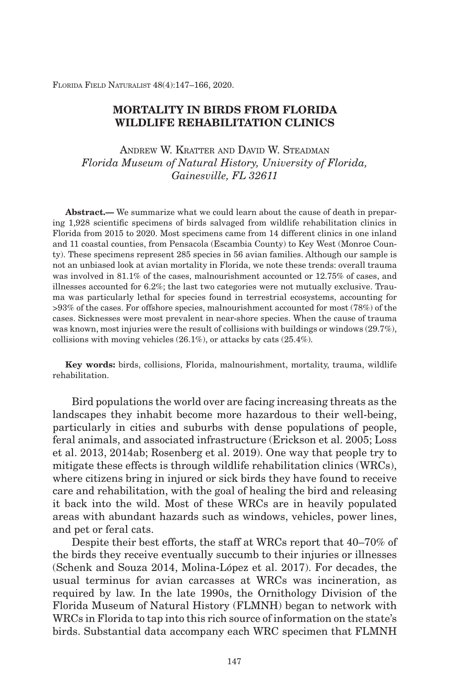Florida Field Naturalist 48(4):147–166, 2020.

## **Mortality in Birds from Florida Wildlife Rehabilitation Clinics**

Andrew W. Kratter and David W. Steadman *Florida Museum of Natural History, University of Florida, Gainesville, FL 32611*

**Abstract.—** We summarize what we could learn about the cause of death in preparing 1,928 scientific specimens of birds salvaged from wildlife rehabilitation clinics in Florida from 2015 to 2020. Most specimens came from 14 different clinics in one inland and 11 coastal counties, from Pensacola (Escambia County) to Key West (Monroe County). These specimens represent 285 species in 56 avian families. Although our sample is not an unbiased look at avian mortality in Florida, we note these trends: overall trauma was involved in 81.1% of the cases, malnourishment accounted or 12.75% of cases, and illnesses accounted for 6.2%; the last two categories were not mutually exclusive. Trauma was particularly lethal for species found in terrestrial ecosystems, accounting for >93% of the cases. For offshore species, malnourishment accounted for most (78%) of the cases. Sicknesses were most prevalent in near-shore species. When the cause of trauma was known, most injuries were the result of collisions with buildings or windows (29.7%), collisions with moving vehicles (26.1%), or attacks by cats (25.4%).

**Key words:** birds, collisions, Florida, malnourishment, mortality, trauma, wildlife rehabilitation.

Bird populations the world over are facing increasing threats as the landscapes they inhabit become more hazardous to their well-being, particularly in cities and suburbs with dense populations of people, feral animals, and associated infrastructure (Erickson et al. 2005; Loss et al. 2013, 2014ab; Rosenberg et al. 2019). One way that people try to mitigate these effects is through wildlife rehabilitation clinics (WRCs), where citizens bring in injured or sick birds they have found to receive care and rehabilitation, with the goal of healing the bird and releasing it back into the wild. Most of these WRCs are in heavily populated areas with abundant hazards such as windows, vehicles, power lines, and pet or feral cats.

Despite their best efforts, the staff at WRCs report that 40–70% of the birds they receive eventually succumb to their injuries or illnesses (Schenk and Souza 2014, Molina-López et al. 2017). For decades, the usual terminus for avian carcasses at WRCs was incineration, as required by law. In the late 1990s, the Ornithology Division of the Florida Museum of Natural History (FLMNH) began to network with WRCs in Florida to tap into this rich source of information on the state's birds. Substantial data accompany each WRC specimen that FLMNH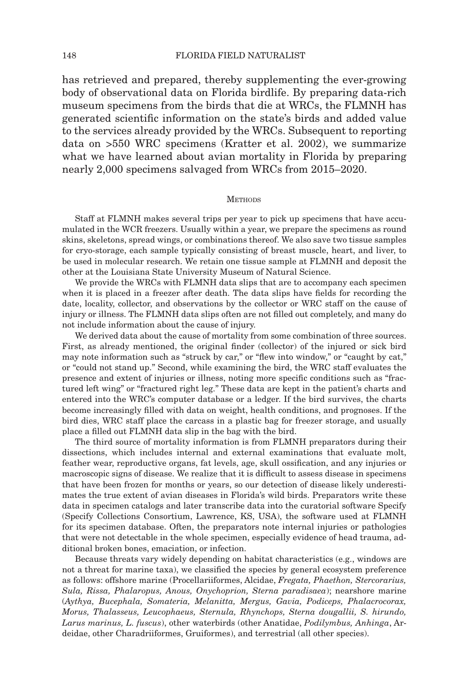has retrieved and prepared, thereby supplementing the ever-growing body of observational data on Florida birdlife. By preparing data-rich museum specimens from the birds that die at WRCs, the FLMNH has generated scientific information on the state's birds and added value to the services already provided by the WRCs. Subsequent to reporting data on >550 WRC specimens (Kratter et al. 2002), we summarize what we have learned about avian mortality in Florida by preparing nearly 2,000 specimens salvaged from WRCs from 2015–2020.

### **METHODS**

Staff at FLMNH makes several trips per year to pick up specimens that have accumulated in the WCR freezers. Usually within a year, we prepare the specimens as round skins, skeletons, spread wings, or combinations thereof. We also save two tissue samples for cryo-storage, each sample typically consisting of breast muscle, heart, and liver, to be used in molecular research. We retain one tissue sample at FLMNH and deposit the other at the Louisiana State University Museum of Natural Science.

We provide the WRCs with FLMNH data slips that are to accompany each specimen when it is placed in a freezer after death. The data slips have fields for recording the date, locality, collector, and observations by the collector or WRC staff on the cause of injury or illness. The FLMNH data slips often are not filled out completely, and many do not include information about the cause of injury.

We derived data about the cause of mortality from some combination of three sources. First, as already mentioned, the original finder (collector) of the injured or sick bird may note information such as "struck by car," or "flew into window," or "caught by cat," or "could not stand up." Second, while examining the bird, the WRC staff evaluates the presence and extent of injuries or illness, noting more specific conditions such as "fractured left wing" or "fractured right leg." These data are kept in the patient's charts and entered into the WRC's computer database or a ledger. If the bird survives, the charts become increasingly filled with data on weight, health conditions, and prognoses. If the bird dies, WRC staff place the carcass in a plastic bag for freezer storage, and usually place a filled out FLMNH data slip in the bag with the bird.

The third source of mortality information is from FLMNH preparators during their dissections, which includes internal and external examinations that evaluate molt, feather wear, reproductive organs, fat levels, age, skull ossification, and any injuries or macroscopic signs of disease. We realize that it is difficult to assess disease in specimens that have been frozen for months or years, so our detection of disease likely underestimates the true extent of avian diseases in Florida's wild birds. Preparators write these data in specimen catalogs and later transcribe data into the curatorial software Specify (Specify Collections Consortium, Lawrence, KS, USA), the software used at FLMNH for its specimen database. Often, the preparators note internal injuries or pathologies that were not detectable in the whole specimen, especially evidence of head trauma, additional broken bones, emaciation, or infection.

Because threats vary widely depending on habitat characteristics (e.g., windows are not a threat for marine taxa), we classified the species by general ecosystem preference as follows: offshore marine (Procellariiformes, Alcidae, *Fregata, Phaethon, Stercorarius, Sula, Rissa, Phalaropus, Anous, Onychoprion, Sterna paradisaea*); nearshore marine (*Aythya, Bucephala, Somateria, Melanitta, Mergus, Gavia, Podiceps, Phalacrocorax, Morus, Thalasseus, Leucophaeus, Sternula, Rhynchops, Sterna dougallii, S. hirundo, Larus marinus, L. fuscus*), other waterbirds (other Anatidae, *Podilymbus, Anhinga*, Ardeidae, other Charadriiformes, Gruiformes), and terrestrial (all other species).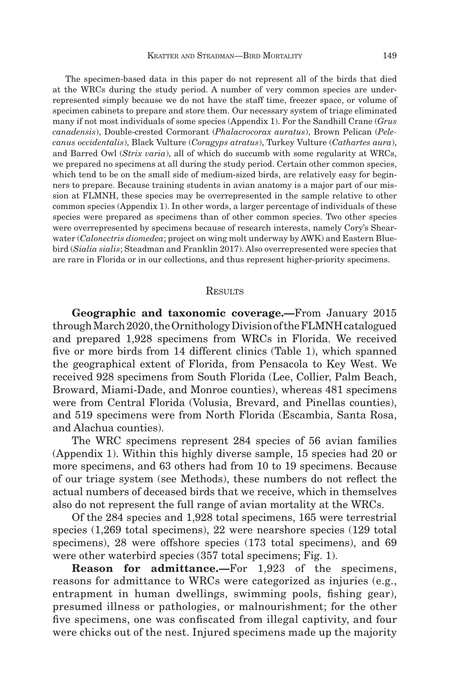The specimen-based data in this paper do not represent all of the birds that died at the WRCs during the study period. A number of very common species are underrepresented simply because we do not have the staff time, freezer space, or volume of specimen cabinets to prepare and store them. Our necessary system of triage eliminated many if not most individuals of some species (Appendix 1). For the Sandhill Crane (*Grus canadensis*), Double-crested Cormorant (*Phalacrocorax auratus*), Brown Pelican (*Pelecanus occidentalis*), Black Vulture (*Coragyps atratus*), Turkey Vulture (*Cathartes aura*), and Barred Owl (*Strix varia*), all of which do succumb with some regularity at WRCs, we prepared no specimens at all during the study period. Certain other common species, which tend to be on the small side of medium-sized birds, are relatively easy for beginners to prepare. Because training students in avian anatomy is a major part of our mission at FLMNH, these species may be overrepresented in the sample relative to other common species (Appendix 1). In other words, a larger percentage of individuals of these species were prepared as specimens than of other common species. Two other species were overrepresented by specimens because of research interests, namely Cory's Shearwater (*Calonectris diomedea*; project on wing molt underway by AWK) and Eastern Bluebird (*Sialia sialis*; Steadman and Franklin 2017). Also overrepresented were species that are rare in Florida or in our collections, and thus represent higher-priority specimens.

### **RESULTS**

**Geographic and taxonomic coverage.—**From January 2015 through March 2020, the Ornithology Division of the FLMNH catalogued and prepared 1,928 specimens from WRCs in Florida. We received five or more birds from 14 different clinics (Table 1), which spanned the geographical extent of Florida, from Pensacola to Key West. We received 928 specimens from South Florida (Lee, Collier, Palm Beach, Broward, Miami-Dade, and Monroe counties), whereas 481 specimens were from Central Florida (Volusia, Brevard, and Pinellas counties), and 519 specimens were from North Florida (Escambia, Santa Rosa, and Alachua counties).

The WRC specimens represent 284 species of 56 avian families (Appendix 1). Within this highly diverse sample, 15 species had 20 or more specimens, and 63 others had from 10 to 19 specimens. Because of our triage system (see Methods), these numbers do not reflect the actual numbers of deceased birds that we receive, which in themselves also do not represent the full range of avian mortality at the WRCs.

Of the 284 species and 1,928 total specimens, 165 were terrestrial species (1,269 total specimens), 22 were nearshore species (129 total specimens), 28 were offshore species (173 total specimens), and 69 were other waterbird species (357 total specimens; Fig. 1).

**Reason for admittance.—**For 1,923 of the specimens, reasons for admittance to WRCs were categorized as injuries (e.g., entrapment in human dwellings, swimming pools, fishing gear), presumed illness or pathologies, or malnourishment; for the other five specimens, one was confiscated from illegal captivity, and four were chicks out of the nest. Injured specimens made up the majority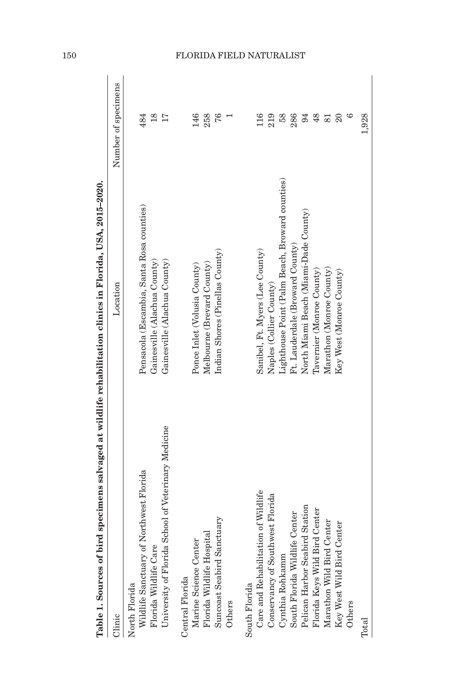| Clinic                                                      | Location                                        | Number of specimens |
|-------------------------------------------------------------|-------------------------------------------------|---------------------|
| of Northwest Florida<br>Wildlife Sanctuary<br>North Florida | Pensacola (Escambia, Santa Rosa counties)       | 484                 |
| Florida Wildlife Care                                       | Gainesville (Alachua County)                    | $\frac{8}{10}$      |
| University of Florida School of Veterinary Medicine         | Gainesville (Alachua County)                    |                     |
| Central Florida                                             |                                                 |                     |
| Marine Science Center                                       | Ponce Inlet (Volusia County)                    | 146                 |
| Florida Wildlife Hospital                                   | Melbourne (Brevard County)                      | 258                 |
| Suncoast Seabird Sanctuary                                  | Indian Shores (Pinellas County)                 | 76                  |
| Others                                                      |                                                 |                     |
| South Florida                                               |                                                 |                     |
| Care and Rehabilitation of Wildlife                         | Sanibel, Ft. Myers (Lee County)                 |                     |
| Conservancy of Southwest Florida                            | Naples (Collier County)                         | 219                 |
| Cynthia Rohkamm                                             | Lighthouse Point (Palm Beach, Broward counties) |                     |
| South Florida Wildlife Center                               | Ft. Lauderdale (Broward County)                 | 286                 |
| Pelican Harbor Seabird Station                              | North Miami Beach (Miami-Dade County)           | 94                  |
| Florida Keys Wild Bird Center                               | Tavernier (Monroe County)                       | $\frac{48}{5}$      |
| Marathon Wild Bird Center                                   | Marathon (Monroe County)                        | 81                  |
| Center<br>Key West Wild Bird                                | Key West (Monroe County)                        | $\overline{20}$     |
| Others                                                      |                                                 | అ                   |
| Total                                                       |                                                 | 1,928               |
|                                                             |                                                 |                     |

Table 1. Sources of bird specimens salvaged at wildlife rehabilitation clinics in Florida, USA, 2015-2020. **Florida, USA, 2015–2020. Sources of bird specimens salvaged at wildlife rehabilitation clinics in Table 1.** 

# 150 Florida Field Naturalist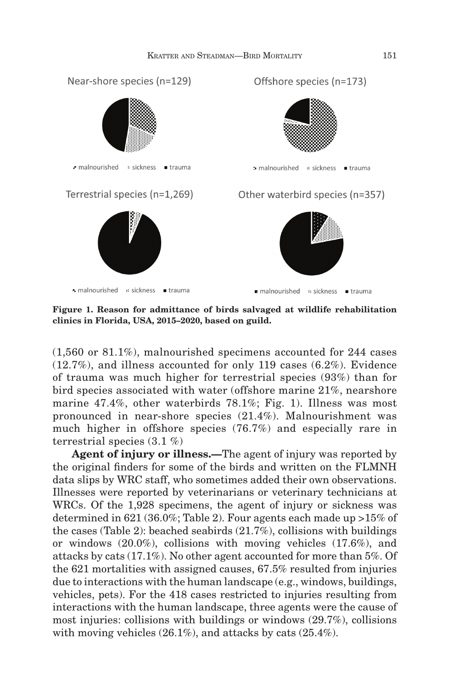

**Figure 1. Reason for admittance of birds salvaged at wildlife rehabilitation clinics in Florida, USA, 2015–2020, based on guild.**

(1,560 or 81.1%), malnourished specimens accounted for 244 cases (12.7%), and illness accounted for only 119 cases (6.2%). Evidence of trauma was much higher for terrestrial species (93%) than for bird species associated with water (offshore marine 21%, nearshore marine 47.4%, other waterbirds 78.1%; Fig. 1). Illness was most pronounced in near-shore species (21.4%). Malnourishment was much higher in offshore species (76.7%) and especially rare in terrestrial species (3.1 %)

**Agent of injury or illness.—**The agent of injury was reported by the original finders for some of the birds and written on the FLMNH data slips by WRC staff, who sometimes added their own observations. Illnesses were reported by veterinarians or veterinary technicians at WRCs. Of the 1,928 specimens, the agent of injury or sickness was determined in 621 (36.0%; Table 2). Four agents each made up >15% of the cases (Table 2): beached seabirds (21.7%), collisions with buildings or windows (20.0%), collisions with moving vehicles (17.6%), and attacks by cats (17.1%). No other agent accounted for more than 5%. Of the 621 mortalities with assigned causes, 67.5% resulted from injuries due to interactions with the human landscape (e.g., windows, buildings, vehicles, pets). For the 418 cases restricted to injuries resulting from interactions with the human landscape, three agents were the cause of most injuries: collisions with buildings or windows (29.7%), collisions with moving vehicles (26.1%), and attacks by cats (25.4%).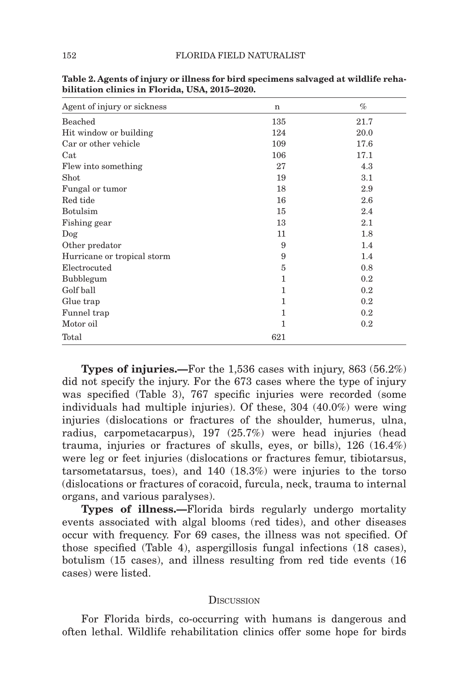| Agent of injury or sickness | $\mathbf n$ | $\%$    |
|-----------------------------|-------------|---------|
| Beached                     | 135         | 21.7    |
| Hit window or building      | 124         | 20.0    |
| Car or other vehicle        | 109         | 17.6    |
| Cat                         | 106         | 17.1    |
| Flew into something         | 27          | 4.3     |
| Shot                        | 19          | 3.1     |
| Fungal or tumor             | 18          | 2.9     |
| Red tide                    | 16          | 2.6     |
| <b>Botulsim</b>             | 15          | 2.4     |
| Fishing gear                | 13          | 2.1     |
| $\log$                      | 11          | 1.8     |
| Other predator              | 9           | 1.4     |
| Hurricane or tropical storm | 9           | 1.4     |
| Electrocuted                | 5           | 0.8     |
| Bubblegum                   | 1           | 0.2     |
| Golf ball                   | 1           | 0.2     |
| Glue trap                   | 1           | 0.2     |
| Funnel trap                 | 1           | 0.2     |
| Motor oil                   | 1           | $0.2\,$ |
| Total                       | 621         |         |

**Table 2. Agents of injury or illness for bird specimens salvaged at wildlife rehabilitation clinics in Florida, USA, 2015–2020.**

**Types of injuries.—**For the 1,536 cases with injury, 863 (56.2%) did not specify the injury. For the 673 cases where the type of injury was specified (Table 3), 767 specific injuries were recorded (some individuals had multiple injuries). Of these, 304 (40.0%) were wing injuries (dislocations or fractures of the shoulder, humerus, ulna, radius, carpometacarpus), 197 (25.7%) were head injuries (head trauma, injuries or fractures of skulls, eyes, or bills), 126 (16.4%) were leg or feet injuries (dislocations or fractures femur, tibiotarsus, tarsometatarsus, toes), and 140 (18.3%) were injuries to the torso (dislocations or fractures of coracoid, furcula, neck, trauma to internal organs, and various paralyses).

**Types of illness.—**Florida birds regularly undergo mortality events associated with algal blooms (red tides), and other diseases occur with frequency. For 69 cases, the illness was not specified. Of those specified (Table 4), aspergillosis fungal infections (18 cases), botulism (15 cases), and illness resulting from red tide events (16 cases) were listed.

### **DISCUSSION**

For Florida birds, co-occurring with humans is dangerous and often lethal. Wildlife rehabilitation clinics offer some hope for birds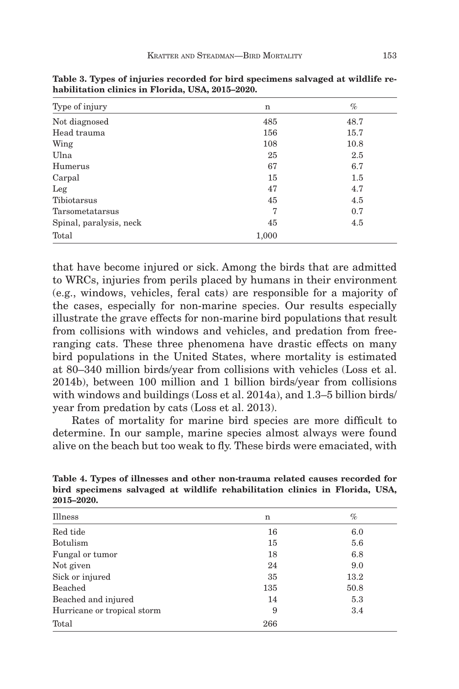| Type of injury          | n     | $\%$ |
|-------------------------|-------|------|
| Not diagnosed           | 485   | 48.7 |
| Head trauma             | 156   | 15.7 |
| Wing                    | 108   | 10.8 |
| Ulna                    | 25    | 2.5  |
| Humerus                 | 67    | 6.7  |
| Carpal                  | 15    | 1.5  |
| Leg                     | 47    | 4.7  |
| Tibiotarsus             | 45    | 4.5  |
| Tarsometatarsus         | 7     | 0.7  |
| Spinal, paralysis, neck | 45    | 4.5  |
| Total                   | 1,000 |      |

**Table 3. Types of injuries recorded for bird specimens salvaged at wildlife rehabilitation clinics in Florida, USA, 2015–2020.**

that have become injured or sick. Among the birds that are admitted to WRCs, injuries from perils placed by humans in their environment (e.g., windows, vehicles, feral cats) are responsible for a majority of the cases, especially for non-marine species. Our results especially illustrate the grave effects for non-marine bird populations that result from collisions with windows and vehicles, and predation from freeranging cats. These three phenomena have drastic effects on many bird populations in the United States, where mortality is estimated at 80–340 million birds/year from collisions with vehicles (Loss et al. 2014b), between 100 million and 1 billion birds/year from collisions with windows and buildings (Loss et al. 2014a), and 1.3–5 billion birds/ year from predation by cats (Loss et al. 2013).

Rates of mortality for marine bird species are more difficult to determine. In our sample, marine species almost always were found alive on the beach but too weak to fly. These birds were emaciated, with

| Illness                     | n   | $\%$ |
|-----------------------------|-----|------|
| Red tide                    | 16  | 6.0  |
| <b>Botulism</b>             | 15  | 5.6  |
| Fungal or tumor             | 18  | 6.8  |
| Not given                   | 24  | 9.0  |
| Sick or injured             | 35  | 13.2 |
| Beached                     | 135 | 50.8 |
| Beached and injured         | 14  | 5.3  |
| Hurricane or tropical storm | 9   | 3.4  |
| Total                       | 266 |      |

**Table 4. Types of illnesses and other non-trauma related causes recorded for bird specimens salvaged at wildlife rehabilitation clinics in Florida, USA, 2015–2020.**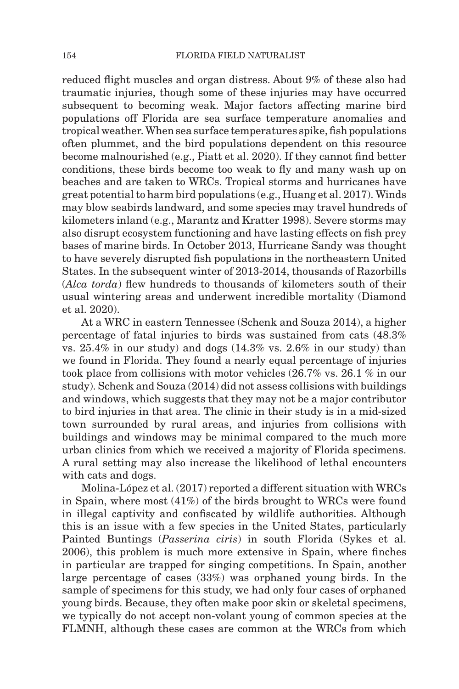reduced flight muscles and organ distress. About 9% of these also had traumatic injuries, though some of these injuries may have occurred subsequent to becoming weak. Major factors affecting marine bird populations off Florida are sea surface temperature anomalies and tropical weather. When sea surface temperatures spike, fish populations often plummet, and the bird populations dependent on this resource become malnourished (e.g., Piatt et al. 2020). If they cannot find better conditions, these birds become too weak to fly and many wash up on beaches and are taken to WRCs. Tropical storms and hurricanes have great potential to harm bird populations (e.g., Huang et al. 2017). Winds may blow seabirds landward, and some species may travel hundreds of kilometers inland (e.g., Marantz and Kratter 1998). Severe storms may also disrupt ecosystem functioning and have lasting effects on fish prey bases of marine birds. In October 2013, Hurricane Sandy was thought to have severely disrupted fish populations in the northeastern United States. In the subsequent winter of 2013-2014, thousands of Razorbills (*Alca torda*) flew hundreds to thousands of kilometers south of their usual wintering areas and underwent incredible mortality (Diamond et al. 2020).

At a WRC in eastern Tennessee (Schenk and Souza 2014), a higher percentage of fatal injuries to birds was sustained from cats (48.3% vs.  $25.4\%$  in our study) and dogs  $(14.3\% \text{ vs. } 2.6\% \text{ in our study})$  than we found in Florida. They found a nearly equal percentage of injuries took place from collisions with motor vehicles (26.7% vs. 26.1 % in our study). Schenk and Souza (2014) did not assess collisions with buildings and windows, which suggests that they may not be a major contributor to bird injuries in that area. The clinic in their study is in a mid-sized town surrounded by rural areas, and injuries from collisions with buildings and windows may be minimal compared to the much more urban clinics from which we received a majority of Florida specimens. A rural setting may also increase the likelihood of lethal encounters with cats and dogs.

Molina-López et al. (2017) reported a different situation with WRCs in Spain, where most (41%) of the birds brought to WRCs were found in illegal captivity and confiscated by wildlife authorities. Although this is an issue with a few species in the United States, particularly Painted Buntings (*Passerina ciris*) in south Florida (Sykes et al. 2006), this problem is much more extensive in Spain, where finches in particular are trapped for singing competitions. In Spain, another large percentage of cases (33%) was orphaned young birds. In the sample of specimens for this study, we had only four cases of orphaned young birds. Because, they often make poor skin or skeletal specimens, we typically do not accept non-volant young of common species at the FLMNH, although these cases are common at the WRCs from which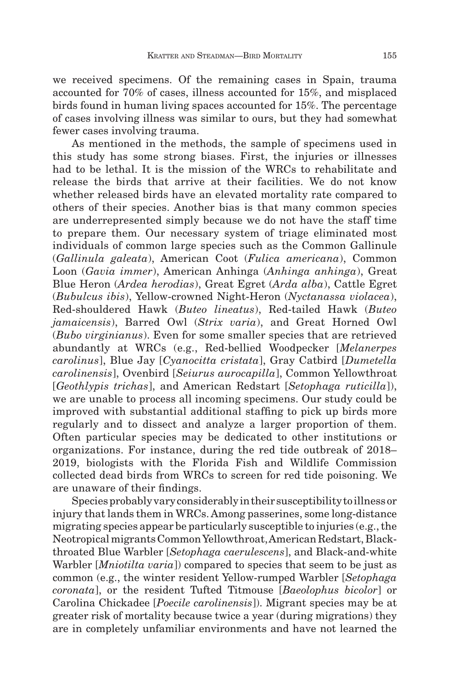we received specimens. Of the remaining cases in Spain, trauma accounted for 70% of cases, illness accounted for 15%, and misplaced birds found in human living spaces accounted for 15%. The percentage of cases involving illness was similar to ours, but they had somewhat fewer cases involving trauma.

As mentioned in the methods, the sample of specimens used in this study has some strong biases. First, the injuries or illnesses had to be lethal. It is the mission of the WRCs to rehabilitate and release the birds that arrive at their facilities. We do not know whether released birds have an elevated mortality rate compared to others of their species. Another bias is that many common species are underrepresented simply because we do not have the staff time to prepare them. Our necessary system of triage eliminated most individuals of common large species such as the Common Gallinule (*Gallinula galeata*), American Coot (*Fulica americana*), Common Loon (*Gavia immer*), American Anhinga (*Anhinga anhinga*), Great Blue Heron (*Ardea herodias*), Great Egret (*Arda alba*), Cattle Egret (*Bubulcus ibis*), Yellow-crowned Night-Heron (*Nyctanassa violacea*), Red-shouldered Hawk (*Buteo lineatus*), Red-tailed Hawk (*Buteo jamaicensis*), Barred Owl (*Strix varia*), and Great Horned Owl (*Bubo virginianus*). Even for some smaller species that are retrieved abundantly at WRCs (e.g., Red-bellied Woodpecker [*Melanerpes carolinus*], Blue Jay [*Cyanocitta cristata*], Gray Catbird [*Dumetella carolinensis*], Ovenbird [*Seiurus aurocapilla*], Common Yellowthroat [*Geothlypis trichas*], and American Redstart [*Setophaga ruticilla*]), we are unable to process all incoming specimens. Our study could be improved with substantial additional staffing to pick up birds more regularly and to dissect and analyze a larger proportion of them. Often particular species may be dedicated to other institutions or organizations. For instance, during the red tide outbreak of 2018– 2019, biologists with the Florida Fish and Wildlife Commission collected dead birds from WRCs to screen for red tide poisoning. We are unaware of their findings.

Species probably vary considerably in their susceptibility to illness or injury that lands them in WRCs. Among passerines, some long-distance migrating species appear be particularly susceptible to injuries (e.g., the Neotropical migrants Common Yellowthroat, American Redstart, Blackthroated Blue Warbler [*Setophaga caerulescens*], and Black-and-white Warbler [*Mniotilta varia*]) compared to species that seem to be just as common (e.g., the winter resident Yellow-rumped Warbler [*Setophaga coronata*], or the resident Tufted Titmouse [*Baeolophus bicolor*] or Carolina Chickadee [*Poecile carolinensis*]). Migrant species may be at greater risk of mortality because twice a year (during migrations) they are in completely unfamiliar environments and have not learned the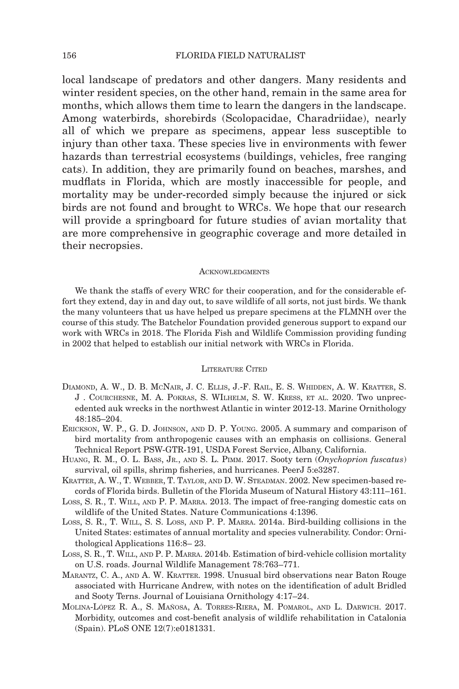local landscape of predators and other dangers. Many residents and winter resident species, on the other hand, remain in the same area for months, which allows them time to learn the dangers in the landscape. Among waterbirds, shorebirds (Scolopacidae, Charadriidae), nearly all of which we prepare as specimens, appear less susceptible to injury than other taxa. These species live in environments with fewer hazards than terrestrial ecosystems (buildings, vehicles, free ranging cats). In addition, they are primarily found on beaches, marshes, and mudflats in Florida, which are mostly inaccessible for people, and mortality may be under-recorded simply because the injured or sick birds are not found and brought to WRCs. We hope that our research will provide a springboard for future studies of avian mortality that are more comprehensive in geographic coverage and more detailed in their necropsies.

#### **ACKNOWLEDGMENTS**

We thank the staffs of every WRC for their cooperation, and for the considerable effort they extend, day in and day out, to save wildlife of all sorts, not just birds. We thank the many volunteers that us have helped us prepare specimens at the FLMNH over the course of this study. The Batchelor Foundation provided generous support to expand our work with WRCs in 2018. The Florida Fish and Wildlife Commission providing funding in 2002 that helped to establish our initial network with WRCs in Florida.

### LITERATURE CITED

- Diamond, A. W., D. B. McNair, J. C. Ellis, J.-F. Rail, E. S. Whidden, A. W. Kratter, S. J . Courchesne, M. A. Pokras, S. WIlhelm, S. W. Kress, et al. 2020. Two unprecedented auk wrecks in the northwest Atlantic in winter 2012-13. Marine Ornithology 48:185–204.
- Erickson, W. P., G. D. Johnson, and D. P. Young. 2005. A summary and comparison of bird mortality from anthropogenic causes with an emphasis on collisions. General Technical Report PSW-GTR-191, USDA Forest Service, Albany, California.
- Huang, R. M., O. L. Bass, Jr., and S. L. Pimm. 2017. Sooty tern (*Onychoprion fuscatus*) survival, oil spills, shrimp fisheries, and hurricanes. PeerJ 5:e3287.
- Kratter, A. W., T. Webber, T. Taylor, and D. W. Steadman. 2002. New specimen-based records of Florida birds. Bulletin of the Florida Museum of Natural History 43:111–161.
- Loss, S. R., T. Will, and P. P. Marra. 2013. The impact of free-ranging domestic cats on wildlife of the United States. Nature Communications 4:1396.
- Loss, S. R., T. Will, S. S. Loss, and P. P. Marra. 2014a. Bird-building collisions in the United States: estimates of annual mortality and species vulnerability. Condor: Ornithological Applications 116:8– 23.
- Loss, S. R., T. Will, and P. P. Marra. 2014b. Estimation of bird-vehicle collision mortality on U.S. roads. Journal Wildlife Management 78:763–771.
- Marantz, C. A., and A. W. Kratter. 1998. Unusual bird observations near Baton Rouge associated with Hurricane Andrew, with notes on the identification of adult Bridled and Sooty Terns. Journal of Louisiana Ornithology 4:17–24.
- Molina-López R. A., S. Mañosa, A. Torres-Riera, M. Pomarol, and L. Darwich. 2017. Morbidity, outcomes and cost-benefit analysis of wildlife rehabilitation in Catalonia (Spain). PLoS ONE 12(7):e0181331.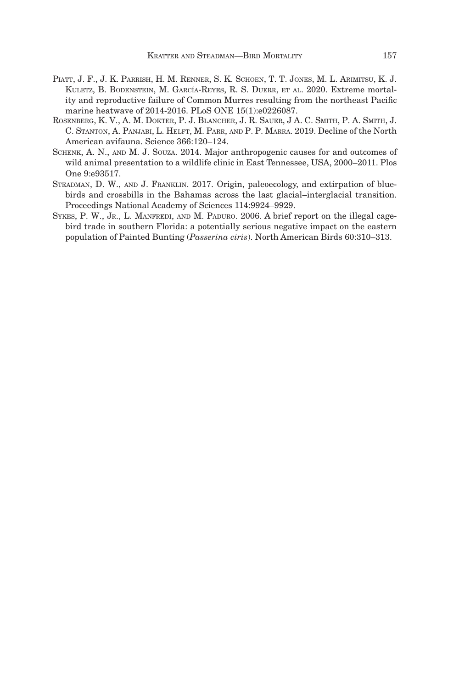- Piatt, J. F., J. K. Parrish, H. M. Renner, S. K. Schoen, T. T. Jones, M. L. Arimitsu, K. J. Kuletz, B. Bodenstein, M. García-Reyes, R. S. Duerr, et al. 2020. Extreme mortality and reproductive failure of Common Murres resulting from the northeast Pacific marine heatwave of 2014-2016. PLoS ONE 15(1):e0226087.
- ROSENBERG, K. V., A. M. DOKTER, P. J. BLANCHER, J. R. SAUER, J A. C. SMITH, P. A. SMITH, J. C. Stanton, A. Panjabi, L. Helft, M. Parr, and P. P. Marra. 2019. Decline of the North American avifauna. Science 366:120–124.
- Schenk, A. N., and M. J. Souza. 2014. Major anthropogenic causes for and outcomes of wild animal presentation to a wildlife clinic in East Tennessee, USA, 2000–2011. Plos One 9:e93517.
- Steadman, D. W., and J. Franklin. 2017. Origin, paleoecology, and extirpation of bluebirds and crossbills in the Bahamas across the last glacial–interglacial transition. Proceedings National Academy of Sciences 114:9924–9929.
- SYKES, P. W., Jr., L. MANFREDI, AND M. PADURO. 2006. A brief report on the illegal cagebird trade in southern Florida: a potentially serious negative impact on the eastern population of Painted Bunting (*Passerina ciris*). North American Birds 60:310–313.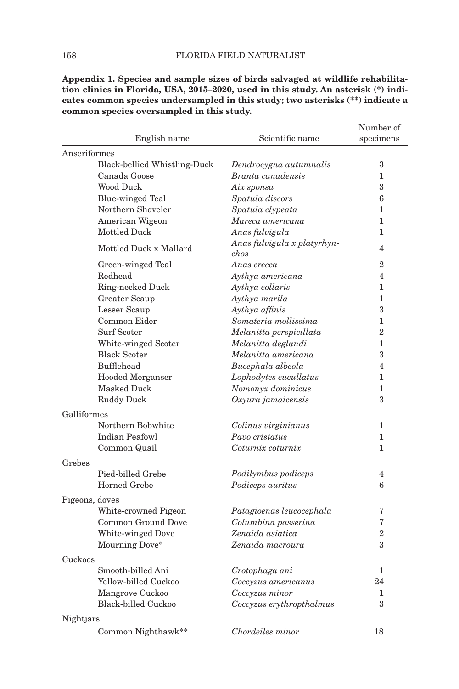|                | English name                 | Scientific name                     | Number of<br>specimens |
|----------------|------------------------------|-------------------------------------|------------------------|
| Anseriformes   |                              |                                     |                        |
|                | Black-bellied Whistling-Duck | Dendrocygna autumnalis              | 3                      |
|                | Canada Goose                 | Branta canadensis                   | $\mathbf{1}$           |
|                | Wood Duck                    | Aix sponsa                          | 3                      |
|                | Blue-winged Teal             | Spatula discors                     | 6                      |
|                | Northern Shoveler            | Spatula clypeata                    | $\mathbf{1}$           |
|                | American Wigeon              | Mareca americana                    | 1                      |
|                | Mottled Duck                 | Anas fulvigula                      | 1                      |
|                | Mottled Duck x Mallard       | Anas fulvigula x platyrhyn-<br>chos | $\overline{4}$         |
|                | Green-winged Teal            | Anas crecca                         | $\overline{2}$         |
|                | Redhead                      | Aythya americana                    | $\overline{4}$         |
|                | Ring-necked Duck             | Aythya collaris                     | $\mathbf{1}$           |
|                | Greater Scaup                | Aythya marila                       | $\mathbf{1}$           |
|                | Lesser Scaup                 | Aythya affinis                      | 3                      |
|                | Common Eider                 | Somateria mollissima                | 1                      |
|                | Surf Scoter                  | Melanitta perspicillata             | $\overline{2}$         |
|                | White-winged Scoter          | Melanitta deglandi                  | 1                      |
|                | <b>Black Scoter</b>          | Melanitta americana                 | 3                      |
|                | Bufflehead                   | Bucephala albeola                   | 4                      |
|                | <b>Hooded Merganser</b>      | Lophodytes cucullatus               | 1                      |
|                | Masked Duck                  | Nomonyx dominicus                   | $\mathbf{1}$           |
|                | <b>Ruddy Duck</b>            | Oxyura jamaicensis                  | 3                      |
| Galliformes    |                              |                                     |                        |
|                | Northern Bobwhite            | Colinus virginianus                 | 1                      |
|                | <b>Indian Peafowl</b>        | Pavo cristatus                      | $\mathbf{1}$           |
|                | Common Quail                 | Coturnix coturnix                   | 1                      |
| Grebes         |                              |                                     |                        |
|                | Pied-billed Grebe            | Podilymbus podiceps                 | $\overline{4}$         |
|                | Horned Grebe                 | Podiceps auritus                    | 6                      |
| Pigeons, doves |                              |                                     |                        |
|                | White-crowned Pigeon         | Patagioenas leucocephala            | 7                      |
|                | Common Ground Dove           | Columbina passerina                 | 7                      |
|                | White-winged Dove            | Zenaida asiatica                    | $\overline{2}$         |
|                | Mourning Dove*               | Zenaida macroura                    | 3                      |
| Cuckoos        |                              |                                     |                        |
|                | Smooth-billed Ani            | Crotophaga ani                      | 1                      |
|                | Yellow-billed Cuckoo         | Coccyzus americanus                 | 24                     |
|                | Mangrove Cuckoo              | Coccyzus minor                      | 1                      |
|                | Black-billed Cuckoo          | Coccyzus erythropthalmus            | 3                      |
| Nightjars      |                              |                                     |                        |
|                | Common Nighthawk**           | Chordeiles minor                    | 18                     |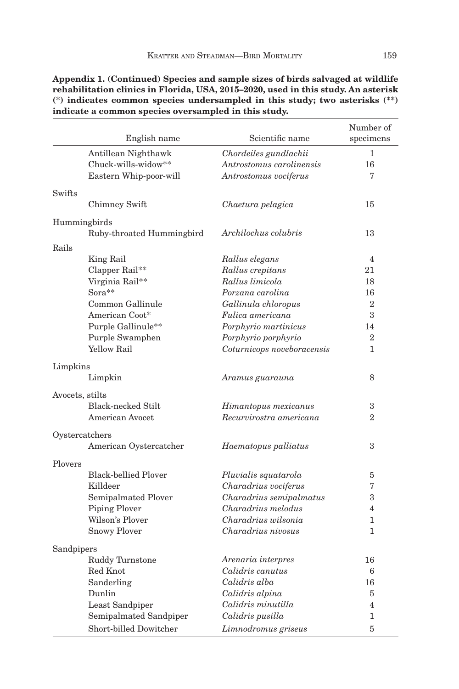|                 | English name                | Scientific name            | Number of<br>specimens |
|-----------------|-----------------------------|----------------------------|------------------------|
|                 | Antillean Nighthawk         | Chordeiles gundlachii      | 1                      |
|                 | Chuck-wills-widow**         | Antrostomus carolinensis   | 16                     |
|                 | Eastern Whip-poor-will      | Antrostomus vociferus      | 7                      |
|                 |                             |                            |                        |
| Swifts          |                             |                            |                        |
|                 | Chimney Swift               | Chaetura pelagica          | 15                     |
| Hummingbirds    |                             |                            |                        |
|                 | Ruby-throated Hummingbird   | Archilochus colubris       | 13                     |
| Rails           |                             |                            |                        |
|                 | King Rail                   | Rallus elegans             | $\overline{4}$         |
|                 | Clapper Rail**              | Rallus crepitans           | 21                     |
|                 | Virginia Rail**             | Rallus limicola            | 18                     |
|                 | Sora**                      | Porzana carolina           | 16                     |
|                 | Common Gallinule            | Gallinula chloropus        | $\overline{2}$         |
|                 | American Coot*              | Fulica americana           | 3                      |
|                 | Purple Gallinule**          | Porphyrio martinicus       | 14                     |
|                 | Purple Swamphen             | Porphyrio porphyrio        | $\overline{2}$         |
|                 | <b>Yellow Rail</b>          | Coturnicops noveboracensis | $\mathbf{1}$           |
|                 |                             |                            |                        |
| Limpkins        |                             |                            |                        |
|                 | Limpkin                     | Aramus guarauna            | 8                      |
| Avocets, stilts |                             |                            |                        |
|                 | Black-necked Stilt          | Himantopus mexicanus       | 3                      |
|                 | American Avocet             | Recurvirostra americana    | $\overline{2}$         |
| Oystercatchers  |                             |                            |                        |
|                 | American Oystercatcher      | Haematopus palliatus       | 3                      |
|                 |                             |                            |                        |
| Plovers         |                             |                            |                        |
|                 | <b>Black-bellied Plover</b> | Pluvialis squatarola       | 5                      |
|                 | Killdeer                    | Charadrius vociferus       | 7                      |
|                 | Semipalmated Plover         | Charadrius semipalmatus    | 3                      |
|                 | <b>Piping Plover</b>        | Charadrius melodus         | $\overline{4}$         |
|                 | Wilson's Plover             | Charadrius wilsonia        | $\mathbf{1}$           |
|                 | <b>Snowy Ployer</b>         | Charadrius nivosus         | $\mathbf{1}$           |
| Sandpipers      |                             |                            |                        |
|                 | Ruddy Turnstone             | Arenaria interpres         | 16                     |
|                 | Red Knot                    | Calidris canutus           | 6                      |
|                 | Sanderling                  | Calidris alba              | 16                     |
|                 | Dunlin                      | Calidris alpina            | 5                      |
|                 | Least Sandpiper             | Calidris minutilla         | $\overline{4}$         |
|                 | Semipalmated Sandpiper      | Calidris pusilla           | 1                      |
|                 | Short-billed Dowitcher      | Limnodromus griseus        | 5                      |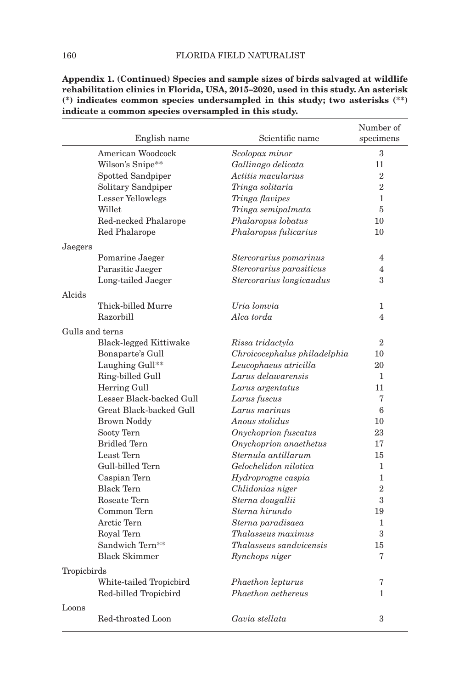|                 | English name             | Scientific name              | Number of<br>specimens |
|-----------------|--------------------------|------------------------------|------------------------|
|                 | American Woodcock        | Scolopax minor               | 3                      |
|                 | Wilson's Snipe**         | Gallinago delicata           | 11                     |
|                 | Spotted Sandpiper        | Actitis macularius           | $\overline{2}$         |
|                 | Solitary Sandpiper       | Tringa solitaria             | $\overline{2}$         |
|                 | Lesser Yellowlegs        | Tringa flavipes              | 1                      |
|                 | Willet                   | Tringa semipalmata           | 5                      |
|                 | Red-necked Phalarope     | Phalaropus lobatus           | 10                     |
|                 | Red Phalarope            | Phalaropus fulicarius        | 10                     |
| Jaegers         |                          |                              |                        |
|                 | Pomarine Jaeger          | Stercorarius pomarinus       | 4                      |
|                 | Parasitic Jaeger         | Stercorarius parasiticus     | $\overline{4}$         |
|                 | Long-tailed Jaeger       | Stercorarius longicaudus     | 3                      |
| Alcids          |                          |                              |                        |
|                 | Thick-billed Murre       | Uria lomvia                  | 1                      |
|                 | Razorbill                | Alca torda                   | $\overline{4}$         |
| Gulls and terns |                          |                              |                        |
|                 | Black-legged Kittiwake   | Rissa tridactyla             | $\overline{2}$         |
|                 | Bonaparte's Gull         | Chroicocephalus philadelphia | 10                     |
|                 | Laughing Gull**          | Leucophaeus atricilla        | 20                     |
|                 | Ring-billed Gull         | Larus delawarensis           | 1                      |
|                 | Herring Gull             | Larus argentatus             | 11                     |
|                 | Lesser Black-backed Gull | Larus fuscus                 | 7                      |
|                 | Great Black-backed Gull  | Larus marinus                | 6                      |
|                 | <b>Brown Noddy</b>       | Anous stolidus               | 10                     |
|                 | Sooty Tern               | Onychoprion fuscatus         | 23                     |
|                 | <b>Bridled Tern</b>      | Onychoprion anaethetus       | 17                     |
|                 | Least Tern               | Sternula antillarum          | 15                     |
|                 | Gull-billed Tern         | Gelochelidon nilotica        | 1                      |
|                 | Caspian Tern             | Hydroprogne caspia           | $\mathbf{1}$           |
|                 | <b>Black Tern</b>        | Chlidonias niger             | $\overline{2}$         |
|                 | Roseate Tern             | Sterna dougallii             | 3                      |
|                 | Common Tern              | Sterna hirundo               | 19                     |
|                 | Arctic Tern              | Sterna paradisaea            | 1                      |
|                 | Royal Tern               | <i>Thalasseus maximus</i>    | 3                      |
|                 | Sandwich Tern**          | Thalasseus sandvicensis      | 15                     |
|                 | <b>Black Skimmer</b>     | Rynchops niger               | 7                      |
| Tropicbirds     |                          |                              |                        |
|                 | White-tailed Tropicbird  | Phaethon lepturus            | 7                      |
|                 | Red-billed Tropicbird    | Phaethon aethereus           | $\mathbf{1}$           |
| Loons           |                          |                              |                        |
|                 | Red-throated Loon        | Gavia stellata               | 3                      |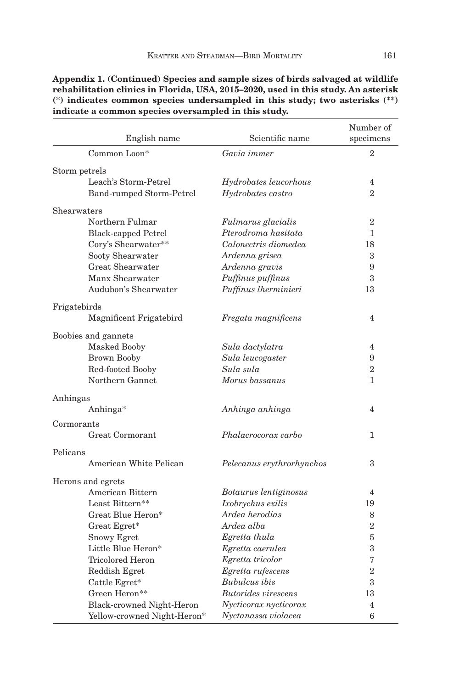| English name                | Scientific name            | Number of<br>specimens |
|-----------------------------|----------------------------|------------------------|
| Common Loon*                | Gavia immer                | $\mathbf{2}$           |
| Storm petrels               |                            |                        |
| Leach's Storm-Petrel        | Hydrobates leucorhous      | $\overline{4}$         |
| Band-rumped Storm-Petrel    | Hydrobates castro          | $\overline{2}$         |
| Shearwaters                 |                            |                        |
| Northern Fulmar             | Fulmarus glacialis         | $\overline{2}$         |
| <b>Black-capped Petrel</b>  | Pterodroma hasitata        | 1                      |
| Cory's Shearwater**         | Calonectris diomedea       | 18                     |
| Sooty Shearwater            | Ardenna grisea             | 3                      |
| Great Shearwater            | Ardenna gravis             | 9                      |
| Manx Shearwater             | Puffinus puffinus          | 3                      |
| Audubon's Shearwater        | Puffinus lherminieri       | 13                     |
| Frigatebirds                |                            |                        |
| Magnificent Frigatebird     | Fregata magnificens        | $\overline{4}$         |
| Boobies and gannets         |                            |                        |
| <b>Masked Booby</b>         | Sula dactylatra            | $\overline{4}$         |
| <b>Brown Booby</b>          | Sula leucogaster           | 9                      |
| Red-footed Booby            | Sula sula                  | $\overline{2}$         |
| Northern Gannet             | Morus bassanus             | $\mathbf{1}$           |
| Anhingas                    |                            |                        |
| Anhinga*                    | Anhinga anhinga            | $\overline{4}$         |
| Cormorants                  |                            |                        |
| <b>Great Cormorant</b>      | Phalacrocorax carbo        | 1                      |
| Pelicans                    |                            |                        |
| American White Pelican      | Pelecanus erythrorhynchos  | 3                      |
| Herons and egrets           |                            |                        |
| American Bittern            | Botaurus lentiginosus      | $\overline{4}$         |
| Least Bittern**             | Ixobrychus exilis          | 19                     |
| Great Blue Heron*           | Ardea herodias             | 8                      |
| Great Egret*                | Ardea alba                 | $\overline{2}$         |
| Snowy Egret                 | Egretta thula              | 5                      |
| Little Blue Heron*          | Egretta caerulea           | 3                      |
| Tricolored Heron            | Egretta tricolor           | 7                      |
| Reddish Egret               | Egretta rufescens          | $\overline{2}$         |
| Cattle Egret*               | <b>Bubulcus</b> ibis       | 3                      |
| Green Heron**               | <b>Butorides</b> virescens | 13                     |
| Black-crowned Night-Heron   | Nycticorax nycticorax      | 4                      |
| Yellow-crowned Night-Heron* | Nyctanassa violacea        | 6                      |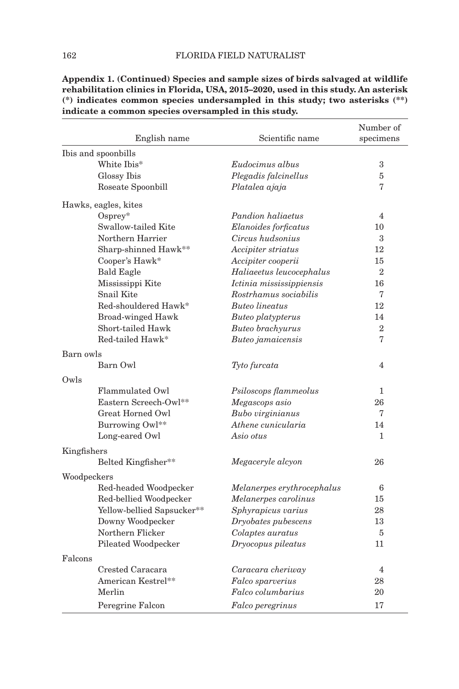|             | English name               | Scientific name            | Number of<br>specimens |
|-------------|----------------------------|----------------------------|------------------------|
|             | Ibis and spoonbills        |                            |                        |
|             | White Ibis*                | Eudocimus albus            | 3                      |
|             | Glossy Ibis                | Plegadis falcinellus       | 5                      |
|             | Roseate Spoonbill          | Platalea ajaja             | 7                      |
|             | Hawks, eagles, kites       |                            |                        |
|             | $O$ spre $v^*$             | Pandion haliaetus          | $\overline{4}$         |
|             | Swallow-tailed Kite        | Elanoides forficatus       | 10                     |
|             | Northern Harrier           | Circus hudsonius           | 3                      |
|             | Sharp-shinned Hawk**       | Accipiter striatus         | 12                     |
|             | Cooper's Hawk*             | Accipiter cooperii         | 15                     |
|             | <b>Bald Eagle</b>          | Haliaeetus leucocephalus   | $\overline{2}$         |
|             | Mississippi Kite           | Ictinia mississippiensis   | 16                     |
|             | Snail Kite                 | Rostrhamus sociabilis      | 7                      |
|             | Red-shouldered Hawk*       | <b>Buteo lineatus</b>      | 12                     |
|             | <b>Broad-winged Hawk</b>   | Buteo platypterus          | 14                     |
|             | Short-tailed Hawk          | Buteo brachyurus           | $\overline{2}$         |
|             | Red-tailed Hawk*           | Buteo jamaicensis          | 7                      |
| Barn owls   |                            |                            |                        |
|             | Barn Owl                   | Tyto furcata               | 4                      |
| Owls        |                            |                            |                        |
|             | Flammulated Owl            | Psiloscops flammeolus      | 1                      |
|             | Eastern Screech-Owl**      | Megascops asio             | 26                     |
|             | Great Horned Owl           | Bubo virginianus           | 7                      |
|             | Burrowing Owl**            | Athene cunicularia         | 14                     |
|             | Long-eared Owl             | Asio otus                  | 1                      |
| Kingfishers |                            |                            |                        |
|             | Belted Kingfisher**        | Megaceryle alcyon          | 26                     |
| Woodpeckers |                            |                            |                        |
|             | Red-headed Woodpecker      | Melanerpes erythrocephalus | 6                      |
|             | Red-bellied Woodpecker     | Melanerpes carolinus       | 15                     |
|             | Yellow-bellied Sapsucker** | Sphyrapicus varius         | 28                     |
|             | Downy Woodpecker           | Dryobates pubescens        | 13                     |
|             | Northern Flicker           | Colaptes auratus           | 5                      |
|             | Pileated Woodpecker        | Dryocopus pileatus         | 11                     |
| Falcons     |                            |                            |                        |
|             | Crested Caracara           | Caracara cheriway          | $\overline{4}$         |
|             | American Kestrel**         | Falco sparverius           | 28                     |
|             | Merlin                     | Falco columbarius          | 20                     |
|             | Peregrine Falcon           | Falco peregrinus           | 17                     |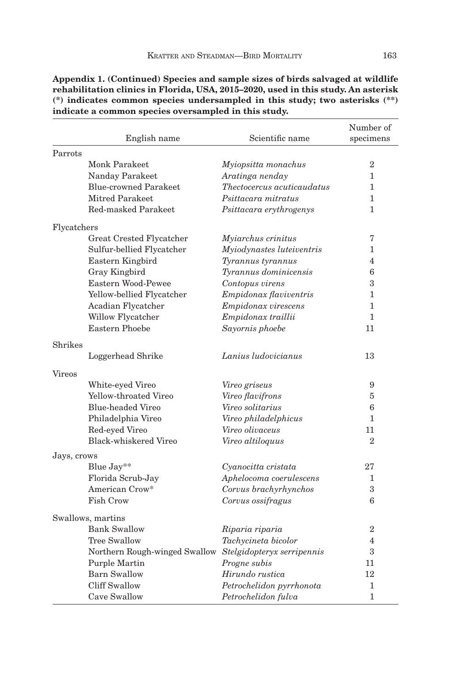|               |                                                          |                                   | Number of      |
|---------------|----------------------------------------------------------|-----------------------------------|----------------|
|               | English name                                             | Scientific name                   | specimens      |
| Parrots       |                                                          |                                   |                |
|               | Monk Parakeet                                            | Myiopsitta monachus               | 2              |
|               | Nanday Parakeet                                          | Aratinga nenday                   | $\mathbf{1}$   |
|               | Blue-crowned Parakeet                                    | <i>Thectocercus acuticaudatus</i> | $\mathbf{1}$   |
|               | Mitred Parakeet                                          | Psittacara mitratus               | 1              |
|               | Red-masked Parakeet                                      | Psittacara erythrogenys           | 1              |
| Flycatchers   |                                                          |                                   |                |
|               | Great Crested Flycatcher                                 | Myiarchus crinitus                | 7              |
|               | Sulfur-bellied Flycatcher                                | Myiodynastes luteiventris         | 1              |
|               | Eastern Kingbird                                         | Tyrannus tyrannus                 | 4              |
|               | Gray Kingbird                                            | Tyrannus dominicensis             | 6              |
|               | Eastern Wood-Pewee                                       | Contopus virens                   | 3              |
|               | Yellow-bellied Flycatcher                                | Empidonax flaviventris            | 1              |
|               | Acadian Flycatcher                                       | Empidonax virescens               | 1              |
|               | Willow Flycatcher                                        | Empidonax traillii                | $\mathbf{1}$   |
|               | <b>Eastern Phoebe</b>                                    | Sayornis phoebe                   | 11             |
| Shrikes       |                                                          |                                   |                |
|               | Loggerhead Shrike                                        | Lanius ludovicianus               | 13             |
| <b>Vireos</b> |                                                          |                                   |                |
|               | White-eyed Vireo                                         | Vireo griseus                     | 9              |
|               | Yellow-throated Vireo                                    | Vireo flavifrons                  | 5              |
|               | Blue-headed Vireo                                        | Vireo solitarius                  | 6              |
|               | Philadelphia Vireo                                       | Vireo philadelphicus              | $\mathbf{1}$   |
|               | Red-eyed Vireo                                           | Vireo olivaceus                   | 11             |
|               | Black-whiskered Vireo                                    | Vireo altiloquus                  | $\overline{2}$ |
| Jays, crows   |                                                          |                                   |                |
|               | Blue Jay**                                               | Cyanocitta cristata               | 27             |
|               | Florida Scrub-Jay                                        | Aphelocoma coerulescens           | 1              |
|               | American Crow*                                           | Corvus brachyrhynchos             | 3              |
|               | Fish Crow                                                | Corvus ossifragus                 | 6              |
|               | Swallows, martins                                        |                                   |                |
|               | <b>Bank Swallow</b>                                      | Riparia riparia                   | $\overline{2}$ |
|               | Tree Swallow                                             | Tachycineta bicolor               | $\overline{4}$ |
|               | Northern Rough-winged Swallow Stelgidopteryx serripennis |                                   | 3              |
|               | <b>Purple Martin</b>                                     | Progne subis                      | 11             |
|               | <b>Barn Swallow</b>                                      | Hirundo rustica                   | 12             |
|               | Cliff Swallow                                            | Petrochelidon pyrrhonota          | 1              |
|               | Cave Swallow                                             | Petrochelidon fulva               | $\mathbf{1}$   |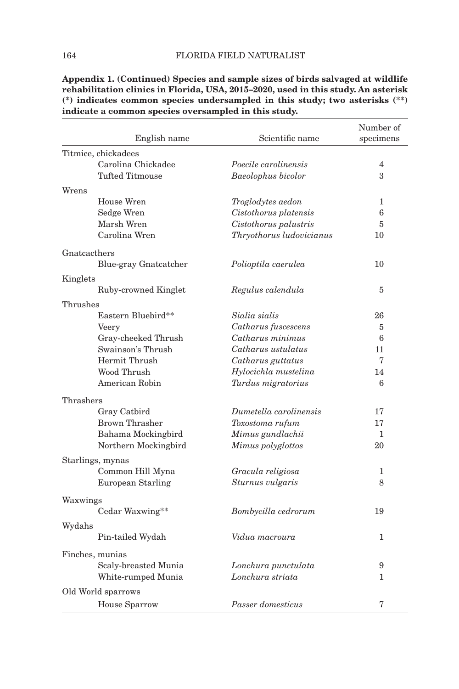|              |                          |                           | Number of    |
|--------------|--------------------------|---------------------------|--------------|
|              | English name             | Scientific name           | specimens    |
|              | Titmice, chickadees      |                           |              |
|              | Carolina Chickadee       | Poecile carolinensis      | 4            |
|              | Tufted Titmouse          | <b>Baeolophus bicolor</b> | 3            |
| Wrens        |                          |                           |              |
|              | House Wren               | Troglodytes aedon         | 1            |
|              | Sedge Wren               | Cistothorus platensis     | 6            |
|              | Marsh Wren               | Cistothorus palustris     | 5            |
|              | Carolina Wren            | Thryothorus ludovicianus  | 10           |
| Gnatcacthers |                          |                           |              |
|              | Blue-gray Gnatcatcher    | Polioptila caerulea       | 10           |
| Kinglets     |                          |                           |              |
|              | Ruby-crowned Kinglet     | Regulus calendula         | 5            |
| Thrushes     |                          |                           |              |
|              | Eastern Bluebird**       | Sialia sialis             | 26           |
|              | Veery                    | Catharus fuscescens       | 5            |
|              | Gray-cheeked Thrush      | Catharus minimus          | 6            |
|              | Swainson's Thrush        | Catharus ustulatus        | 11           |
|              | Hermit Thrush            | Catharus guttatus         | 7            |
|              | Wood Thrush              | Hylocichla mustelina      | 14           |
|              | American Robin           | Turdus migratorius        | 6            |
| Thrashers    |                          |                           |              |
|              | Gray Catbird             | Dumetella carolinensis    | 17           |
|              | <b>Brown Thrasher</b>    | Toxostoma rufum           | 17           |
|              | Bahama Mockingbird       | Mimus gundlachii          | 1            |
|              | Northern Mockingbird     | Mimus polyglottos         | 20           |
|              | Starlings, mynas         |                           |              |
|              | Common Hill Myna         | Gracula religiosa         | 1            |
|              | <b>European Starling</b> | Sturnus vulgaris          | 8            |
| Waxwings     |                          |                           |              |
|              | Cedar Waxwing**          | Bombycilla cedrorum       | 19           |
| Wydahs       |                          |                           |              |
|              | Pin-tailed Wydah         | Vidua macroura            | $\mathbf{1}$ |
|              | Finches, munias          |                           |              |
|              | Scaly-breasted Munia     | Lonchura punctulata       | 9            |
|              | White-rumped Munia       | Lonchura striata          | 1            |
|              | Old World sparrows       |                           |              |
|              | House Sparrow            | Passer domesticus         | 7            |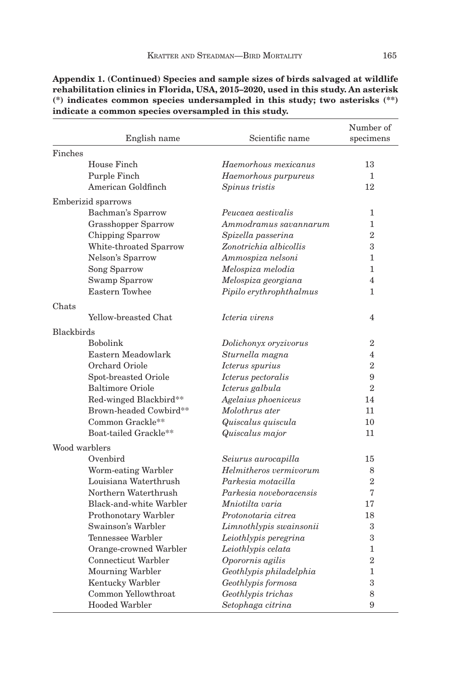|                   | English name            | Scientific name         | Number of<br>specimens |
|-------------------|-------------------------|-------------------------|------------------------|
| Finches           |                         |                         |                        |
|                   | House Finch             | Haemorhous mexicanus    | 13                     |
|                   | Purple Finch            | Haemorhous purpureus    | 1                      |
|                   | American Goldfinch      | Spinus tristis          | 12                     |
|                   | Emberizid sparrows      |                         |                        |
|                   | Bachman's Sparrow       | Peucaea aestivalis      | 1                      |
|                   | Grasshopper Sparrow     | Ammodramus savannarum   | 1                      |
|                   | Chipping Sparrow        | Spizella passerina      | $\overline{2}$         |
|                   | White-throated Sparrow  | Zonotrichia albicollis  | 3                      |
|                   | Nelson's Sparrow        | Ammospiza nelsoni       | 1                      |
|                   | Song Sparrow            | Melospiza melodia       | $\mathbf{1}$           |
|                   | Swamp Sparrow           | Melospiza georgiana     | $\overline{4}$         |
|                   | Eastern Towhee          | Pipilo erythrophthalmus | $\mathbf{1}$           |
| Chats             |                         |                         |                        |
|                   | Yellow-breasted Chat    | Icteria virens          | $\overline{4}$         |
|                   |                         |                         |                        |
| <b>Blackbirds</b> |                         |                         |                        |
|                   | Bobolink                | Dolichonyx oryzivorus   | $\overline{2}$         |
|                   | Eastern Meadowlark      | Sturnella magna         | 4                      |
|                   | Orchard Oriole          | Icterus spurius         | $\overline{2}$         |
|                   | Spot-breasted Oriole    | Icterus pectoralis      | 9                      |
|                   | <b>Baltimore Oriole</b> | Icterus galbula         | $\overline{2}$         |
|                   | Red-winged Blackbird**  | Agelaius phoeniceus     | 14                     |
|                   | Brown-headed Cowbird**  | Molothrus ater          | 11                     |
|                   | Common Grackle**        | Quiscalus quiscula      | 10                     |
|                   | Boat-tailed Grackle**   | Quiscalus major         | 11                     |
| Wood warblers     |                         |                         |                        |
|                   | Ovenbird                | Seiurus aurocapilla     | 15                     |
|                   | Worm-eating Warbler     | Helmitheros vermivorum  | 8                      |
|                   | Louisiana Waterthrush   | Parkesia motacilla      | $\overline{2}$         |
|                   | Northern Waterthrush    | Parkesia noveboracensis | 7                      |
|                   | Black-and-white Warbler | Mniotilta varia         | 17                     |
|                   | Prothonotary Warbler    | Protonotaria citrea     | 18                     |
|                   | Swainson's Warbler      | Limnothlypis swainsonii | 3                      |
|                   | Tennessee Warbler       | Leiothlypis peregrina   | 3                      |
|                   | Orange-crowned Warbler  | Leiothlypis celata      | 1                      |
|                   | Connecticut Warbler     | Oporornis agilis        | $\overline{2}$         |
|                   | Mourning Warbler        | Geothlypis philadelphia | 1                      |
|                   | Kentucky Warbler        | Geothlypis formosa      | 3                      |
|                   | Common Yellowthroat     | Geothlypis trichas      | 8                      |
|                   | Hooded Warbler          | Setophaga citrina       | 9                      |